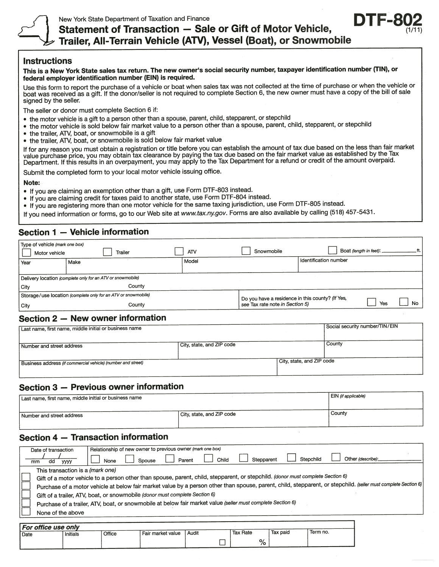



#### **Instructions**

This is <sup>a</sup> New York State sales tax return. The new owner's social security number, taxpayer identification number (TIN), or federal employer identification number (EIN) is required.

Use this form to repor<sup>t</sup> the purchase of <sup>a</sup> vehicle or boat when sales tax was not collected at the time of purchase or when the vehicle or boat was received as <sup>a</sup> <sup>g</sup>ift. If the donor/seller is not required to complete Section 6, the new owner must have <sup>a</sup> copy of the bill of sale signed by the seller.

The seller or donor must complete Section 6 if:

- 
- the motor vehicle is a gift to a person other than a spouse, parent, child, stepparent, or stepchild<br>• the motor vehicle is sold below fair market value to a person other than a spouse, parent, child, stepparent, or step
- the trailer, ATV, boat, or snowmobile is a gift
- . the trailer, ATV boat, or snowmobile is sold below fair market value

If for any reason you must obtain <sup>a</sup> registration or title before you can establish the amount of tax due based on the less than fair market value purchase price, you may obtain tax clearance by paying the tax due based on the fair market value as established by the Tax Department. If this results in an overpayment, you may apply to the Tax Department for <sup>a</sup> refund or credit of the amount overpaid.

Submit the completed form to your local motor vehicle issuing office.

Note:

- 
- If you are claiming an exemption other than a gift, use Form DTF-803 instead.<br>• If you are claiming credit for taxes paid to another state, use Form DTF-804 instead.
- . If you are registering more than one motor vehicle for the same taxing jurisdiction, use Form DTF-805 instead.

If you need information or forms, go to our Web site at www.tax.ny.gov. Forms are also available by calling (518) 457-5431.

### Section 1 — Vehicle information

| Type of vehicle (mark one box)<br>Motor vehicle | Trailer                                                       | <b>ATV</b>                                       | Snowmobile |                                 | Boat (length in feet): |  |
|-------------------------------------------------|---------------------------------------------------------------|--------------------------------------------------|------------|---------------------------------|------------------------|--|
| Year                                            | Make                                                          | Model                                            |            | Identification number           |                        |  |
|                                                 | Delivery location (complete only for an ATV or snowmobile)    |                                                  |            |                                 |                        |  |
| City                                            | Countv                                                        |                                                  |            |                                 |                        |  |
|                                                 | Storage/use location (complete only for an ATV or snowmobile) | Do you have a residence in this county? (If Yes, |            |                                 |                        |  |
| City                                            | County                                                        |                                                  |            | see Tax rate note in Section 5) |                        |  |

# Section 2 — New owner information

| Last name, first name, middle initial or business name       |                           | Social security number/TIN/EIN |  |  |  |
|--------------------------------------------------------------|---------------------------|--------------------------------|--|--|--|
| Number and street address                                    | City, state, and ZIP code | County                         |  |  |  |
| Business address (if commercial vehicle) (number and street) | City, state, and ZIP code |                                |  |  |  |

#### Section 3 — Previous owner information

| Last name, first name, middle initial or business name |                           | EIN (if applicable) |
|--------------------------------------------------------|---------------------------|---------------------|
| Number and street address                              | City, state, and ZIP code | County              |
|                                                        |                           |                     |

## Section 4 — Transaction information

| Date of transaction              | Relationship of new owner to previous owner (mark one box)                                                                                                      |
|----------------------------------|-----------------------------------------------------------------------------------------------------------------------------------------------------------------|
| dd<br><b>yyyy</b><br>mm          | Other (describe):<br>Stepchild<br>Child<br>Stepparent<br>Parent<br>Spouse<br>None                                                                               |
| This transaction is a (mark one) |                                                                                                                                                                 |
|                                  | Gift of a motor vehicle to a person other than spouse, parent, child, stepparent, or stepchild. (donor must complete Section 6)                                 |
|                                  | Purchase of a motor vehicle at below fair market value by a person other than spouse, parent, child, stepparent, or stepchild. (seller must complete Section 6) |
|                                  | Gift of a trailer, ATV, boat, or snowmobile (donor must complete Section 6)                                                                                     |
|                                  | Purchase of a trailer, ATV, boat, or snowmobile at below fair market value (seller must complete Section 6)                                                     |
| None of the above                |                                                                                                                                                                 |
|                                  |                                                                                                                                                                 |

| For office use only |          |        |                   |       |                 |          |          |  |  |
|---------------------|----------|--------|-------------------|-------|-----------------|----------|----------|--|--|
| Date                | Initials | Office | Fair market value | Audit | <b>Tax Rate</b> | Tax paid | Term no. |  |  |
|                     |          |        |                   |       | ο               |          |          |  |  |